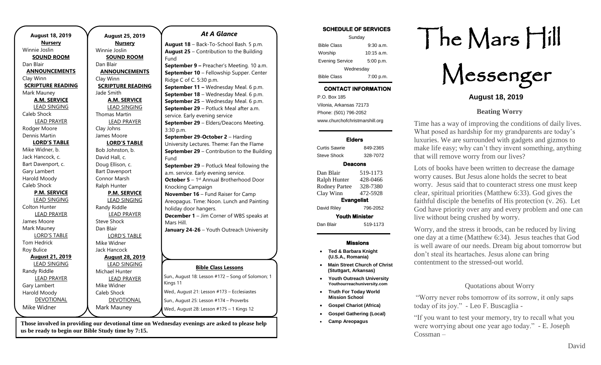| <b>August 18, 2019</b>   |  |
|--------------------------|--|
| <b>Nursery</b>           |  |
| Winnie Joslin            |  |
| <b>SOUND ROOM</b>        |  |
| Dan Blair                |  |
| <b>ANNOUNCEMENTS</b>     |  |
| Clay Winn                |  |
| <b>SCRIPTURE READING</b> |  |
| Mark Mauney              |  |
| <b>A.M. SERVICE</b>      |  |
| <b>LEAD SINGING</b>      |  |
| Caleb Shock              |  |
| <b>LEAD PRAYER</b>       |  |
| Rodger Moore             |  |
| Dennis Martin            |  |
| <b>LORD'S TABLE</b>      |  |
| Mike Widner, b.          |  |
| Jack Hancock, c.         |  |
| Bart Davenport, c.       |  |
| Gary Lambert             |  |
| Harold Moody             |  |
| Caleb Shock              |  |
| <b>P.M. SERVICE</b>      |  |
| <b>LEAD SINGING</b>      |  |
| Colton Hunter            |  |
| <b>LEAD PRAYER</b>       |  |
| James Moore              |  |
| Mark Mauney              |  |
| <b>LORD'S TABLE</b>      |  |
| Tom Hedrick              |  |
| Roy Bulice               |  |
| <b>August 21, 2019</b>   |  |
| <b>LEAD SINGING</b>      |  |
| Randy Riddle             |  |
| <b>LEAD PRAYER</b>       |  |
| Gary Lambert             |  |
| Harold Moody             |  |
| <b>DEVOTIONAL</b>        |  |
| Mike Widner              |  |

**August 25, 2019 Nursery** Winnie Joslin **SOUND ROOM** Dan Blair **ANNOUNCEMENTS** Clay Winn **SCRIPTURE READING** Jade Smith **A.M. SERVICE** LEAD SINGING Thomas Martin LEAD PRAYER Clay Johns James Moore **LORD'S TABLE** Bob Johnston, b. David Hall, c. Doug Ellison, c. Bart Davenport Connor Marsh Ralph Hunter **P.M. SERVICE** LEAD SINGING Randy Riddle LEAD PRAYER Steve Shock Dan Blair LORD'S TABLE Mike Widner Jack Hancock **August 28, 2019** LEAD SINGING Michael Hunter LEAD PRAYER Mike Widner Caleb Shock DEVOTIONAL Mark Mauney **Bible Class Lessons** Sun., August 18: Lesson #172 – Song of Solomon; 1 Kings 11 Wed., August 21: Lesson #173 – Ecclesiastes Sun., August 25: Lesson #174 – Proverbs Wed., August 28: Lesson #175 – 1 Kings 12 Fund Ridge C of C. 5:30 p.m. 3:30 p.m. Fund Knocking Campaign holiday door hangers. Mars Hill.

**Those involved in providing our devotional time on Wednesday evenings are asked to please help us be ready to begin our Bible Study time by 7:15.** 

#### *At A Glance*

**August 18** – Back-To-School Bash. 5 p.m. **August 25** – Contribution to the Building

**September 9 –** Preacher's Meeting. 10 a.m. **September 10** – Fellowship Supper. Center **September 11 –** Wednesday Meal. 6 p.m. **September 18** – Wednesday Meal. 6 p.m. **September 25** – Wednesday Meal. 6 p.m. **September 29** – Potluck Meal after a.m. service. Early evening service **September 29** – Elders/Deacons Meeting. **September 29-October 2** – Harding University Lectures. Theme: Fan the Flame

**September 29** – Contribution to the Building **September 29** – Potluck Meal following the a.m. service. Early evening service. **October 5** - 1<sup>st</sup> Annual Brotherhood Door **November 16** – Fund Raiser for Camp

Areopagus. Time: Noon. Lunch and Painting **December 1** – Jim Corner of WBS speaks at

**January 24-26** – Youth Outreach University

#### **SCHEDULE OF SERVICES**

| Sunday                 |              |  |
|------------------------|--------------|--|
| <b>Bible Class</b>     | $9:30$ a.m.  |  |
| Worship                | $10:15$ a.m. |  |
| <b>Evening Service</b> | 5:00 p.m.    |  |
| Wednesday              |              |  |
| <b>Bible Class</b>     | 7:00 p.m.    |  |

# **CONTACT INFORMATION**

. .o. Box 166<br>Vilonia, Arkansas 72173 P.O. Box 185 Phone: (501) 796-2052 www.churchofchristmarshill.org

#### **Elders**

Curtis Sawrie 849-2365 Steve Shock 328-7072

#### **Deacons**

Dan Blair 519-1173 Ralph Hunter 428-0466 Rodney Partee 328-7380 Clay Winn 472-5928 **Evangelist**  David Riley 796-2052 **Youth Minister**  Dan Blair 519-1173

#### **Missions**

- **Ted & Barbara Knight (U.S.A., Romania)**
- **Main Street Church of Christ (Stuttgart, Arkansas)**
- **Youth Outreach University Youthourreachuniversity.com**
- **Truth For Today World Mission School**
- **Gospel Chariot (Africa)**
- **Gospel Gathering (Local)**
- **Camp Areopagus**

# The Mars Hill

Messenger

## **August 18, 2019**

## **Beating Worry**

Time has a way of improving the conditions of daily lives. What posed as hardship for my grandparents are today's luxuries. We are surrounded with gadgets and gizmos to make life easy; why can't they invent something, anything that will remove worry from our lives?

Lots of books have been written to decrease the damage worry causes. But Jesus alone holds the secret to beat worry. Jesus said that to counteract stress one must keep clear, spiritual priorities (Matthew 6:33). God gives the faithful disciple the benefits of His protection (v. 26). Let God have priority over any and every problem and one can live without being crushed by worry.

Worry, and the stress it broods, can be reduced by living one day at a time (Matthew 6:34). Jesus teaches that God is well aware of our needs. Dream big about tomorrow but don't steal its heartaches. Jesus alone can bring contentment to the stressed-out world.

## Quotations about Worry

"Worry never robs tomorrow of its sorrow, it only saps today of its joy." - Leo F. Buscaglia -

"If you want to test your memory, try to recall what you were worrying about one year ago today." - E. Joseph Cossman –